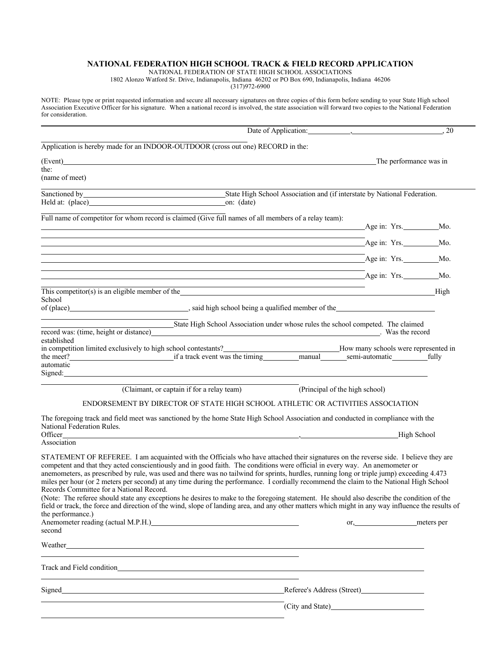## **NATIONAL FEDERATION HIGH SCHOOL TRACK & FIELD RECORD APPLICATION**

NATIONAL FEDERATION OF STATE HIGH SCHOOL ASSOCIATIONS

1802 Alonzo Watford Sr. Drive, Indianapolis, Indiana 46202 or PO Box 690, Indianapolis, Indiana 46206

 $(317)972 - 6900$ 

NOTE: Please type or print requested information and secure all necessary signatures on three copies of this form before sending to your State High school Association Executive Officer for his signature. When a national record is involved, the state association will forward two copies to the National Federation for consideration.

|                                                                                                                                                                                                                                                                                                                                                                                                                                                                                                                                                                                                                                                                                                                                                                                                                                                                                                                                                                                         | , 20                           |
|-----------------------------------------------------------------------------------------------------------------------------------------------------------------------------------------------------------------------------------------------------------------------------------------------------------------------------------------------------------------------------------------------------------------------------------------------------------------------------------------------------------------------------------------------------------------------------------------------------------------------------------------------------------------------------------------------------------------------------------------------------------------------------------------------------------------------------------------------------------------------------------------------------------------------------------------------------------------------------------------|--------------------------------|
| Application is hereby made for an INDOOR-OUTDOOR (cross out one) RECORD in the:                                                                                                                                                                                                                                                                                                                                                                                                                                                                                                                                                                                                                                                                                                                                                                                                                                                                                                         |                                |
| (Event) and the contract of the contract of the contract of the contract of the contract of the contract of the contract of the contract of the contract of the contract of the contract of the contract of the contract of th                                                                                                                                                                                                                                                                                                                                                                                                                                                                                                                                                                                                                                                                                                                                                          | The performance was in         |
| the:<br>(name of meet)                                                                                                                                                                                                                                                                                                                                                                                                                                                                                                                                                                                                                                                                                                                                                                                                                                                                                                                                                                  |                                |
| State High School Association and (if interstate by National Federation.                                                                                                                                                                                                                                                                                                                                                                                                                                                                                                                                                                                                                                                                                                                                                                                                                                                                                                                |                                |
|                                                                                                                                                                                                                                                                                                                                                                                                                                                                                                                                                                                                                                                                                                                                                                                                                                                                                                                                                                                         |                                |
| Full name of competitor for whom record is claimed (Give full names of all members of a relay team):                                                                                                                                                                                                                                                                                                                                                                                                                                                                                                                                                                                                                                                                                                                                                                                                                                                                                    |                                |
| ,我们也不会有什么。""我们的人,我们也不会有什么?""我们的人,我们也不会有什么?""我们的人,我们也不会有什么?""我们的人,我们也不会有什么?""我们的人<br>Age in: Yrs. Mo. Mo.                                                                                                                                                                                                                                                                                                                                                                                                                                                                                                                                                                                                                                                                                                                                                                                                                                                                                |                                |
| <u> 1989 - Johann Stoff, amerikansk politiker (* 1908)</u><br>$\overline{A}$ ge in: Yrs. Mo.                                                                                                                                                                                                                                                                                                                                                                                                                                                                                                                                                                                                                                                                                                                                                                                                                                                                                            |                                |
| ,我们也不会有什么。""我们的人,我们也不会有什么?""我们的人,我们也不会有什么?""我们的人,我们也不会有什么?""我们的人,我们也不会有什么?""我们的人<br>$\overline{\phantom{a}}$ Age in: Yrs. Mo.                                                                                                                                                                                                                                                                                                                                                                                                                                                                                                                                                                                                                                                                                                                                                                                                                                                           |                                |
| <u> 1989 - Andrea Branden, amerikansk politik (d. 1989)</u>                                                                                                                                                                                                                                                                                                                                                                                                                                                                                                                                                                                                                                                                                                                                                                                                                                                                                                                             |                                |
| School                                                                                                                                                                                                                                                                                                                                                                                                                                                                                                                                                                                                                                                                                                                                                                                                                                                                                                                                                                                  |                                |
|                                                                                                                                                                                                                                                                                                                                                                                                                                                                                                                                                                                                                                                                                                                                                                                                                                                                                                                                                                                         |                                |
| State High School Association under whose rules the school competed. The claimed                                                                                                                                                                                                                                                                                                                                                                                                                                                                                                                                                                                                                                                                                                                                                                                                                                                                                                        |                                |
| record was: (time, height or distance) New York Constant Constant Constant Constant Constant Constant Constant<br>established                                                                                                                                                                                                                                                                                                                                                                                                                                                                                                                                                                                                                                                                                                                                                                                                                                                           |                                |
| in competition limited exclusively to high school contestants?<br>if a track event was the timing manual manual semi-automatic fully<br>fully                                                                                                                                                                                                                                                                                                                                                                                                                                                                                                                                                                                                                                                                                                                                                                                                                                           |                                |
| automatic                                                                                                                                                                                                                                                                                                                                                                                                                                                                                                                                                                                                                                                                                                                                                                                                                                                                                                                                                                               |                                |
| Signed: <u>New York: New York: New York: New York: New York: New York: New York: New York: New York: New York: New York: New York: New York: New York: New York: New York: New York: New York: New York: New York: New York: New</u>                                                                                                                                                                                                                                                                                                                                                                                                                                                                                                                                                                                                                                                                                                                                                    |                                |
| (Claimant, or captain if for a relay team)                                                                                                                                                                                                                                                                                                                                                                                                                                                                                                                                                                                                                                                                                                                                                                                                                                                                                                                                              | (Principal of the high school) |
| ENDORSEMENT BY DIRECTOR OF STATE HIGH SCHOOL ATHLETIC OR ACTIVITIES ASSOCIATION                                                                                                                                                                                                                                                                                                                                                                                                                                                                                                                                                                                                                                                                                                                                                                                                                                                                                                         |                                |
| The foregoing track and field meet was sanctioned by the home State High School Association and conducted in compliance with the                                                                                                                                                                                                                                                                                                                                                                                                                                                                                                                                                                                                                                                                                                                                                                                                                                                        |                                |
|                                                                                                                                                                                                                                                                                                                                                                                                                                                                                                                                                                                                                                                                                                                                                                                                                                                                                                                                                                                         |                                |
|                                                                                                                                                                                                                                                                                                                                                                                                                                                                                                                                                                                                                                                                                                                                                                                                                                                                                                                                                                                         |                                |
| <u> 1989 - Johann Stoff, deutscher Stoff, der Stoff, der Stoff, der Stoff, der Stoff, der Stoff, der Stoff, der S</u>                                                                                                                                                                                                                                                                                                                                                                                                                                                                                                                                                                                                                                                                                                                                                                                                                                                                   | High School                    |
| National Federation Rules.<br>Officer<br>Association<br>STATEMENT OF REFEREE. I am acquainted with the Officials who have attached their signatures on the reverse side. I believe they are<br>competent and that they acted conscientiously and in good faith. The conditions were official in every way. An anemometer or<br>anemometers, as prescribed by rule, was used and there was no tailwind for sprints, hurdles, running long or triple jump) exceeding 4.473<br>miles per hour (or 2 meters per second) at any time during the performance. I cordially recommend the claim to the National High School<br>Records Committee for a National Record.<br>(Note: The referee should state any exceptions he desires to make to the foregoing statement. He should also describe the condition of the<br>field or track, the force and direction of the wind, slope of landing area, and any other matters which might in any way influence the results of<br>the performance.) |                                |
| Anemometer reading (actual M.P.H.)<br>second                                                                                                                                                                                                                                                                                                                                                                                                                                                                                                                                                                                                                                                                                                                                                                                                                                                                                                                                            | or, meters per                 |
|                                                                                                                                                                                                                                                                                                                                                                                                                                                                                                                                                                                                                                                                                                                                                                                                                                                                                                                                                                                         |                                |
|                                                                                                                                                                                                                                                                                                                                                                                                                                                                                                                                                                                                                                                                                                                                                                                                                                                                                                                                                                                         |                                |
| Weather <u>the contract of the contract of the contract of the contract of the contract of the contract of the contract of the contract of the contract of the contract of the contract of the contract of the contract of the c</u><br><u> 1989 - Johann Stoff, amerikansk politiker (* 1908)</u><br>Signed <b>Example 2018</b> Referee's Address (Street) <b>Example 2018 Example 2018 Example 2018 Example 2018 Example 2018 Example 2018 Example 2018 Example 2018 Example 2018 Example 2018 Example 201</b>                                                                                                                                                                                                                                                                                                                                                                                                                                                                        |                                |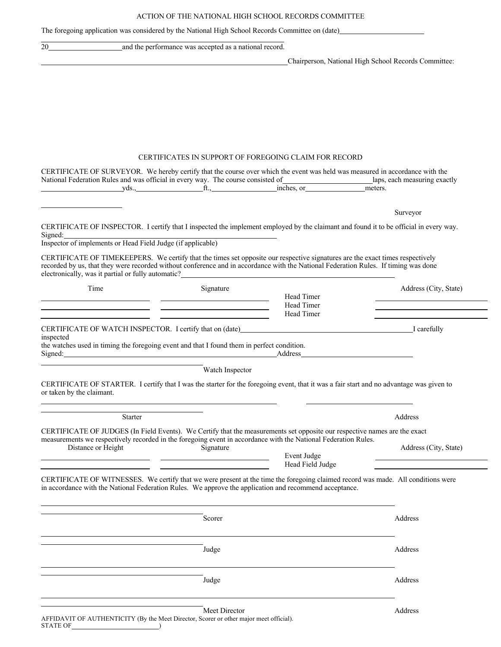ACTION OF THE NATIONAL HIGH SCHOOL RECORDS COMMITTEE

The foregoing application was considered by the National High School Records Committee on (date)

| 20                        |         | and the performance was accepted as a national record.                                                                                                                                                                               |                                                                                                                                       |                                                                                                                                          |
|---------------------------|---------|--------------------------------------------------------------------------------------------------------------------------------------------------------------------------------------------------------------------------------------|---------------------------------------------------------------------------------------------------------------------------------------|------------------------------------------------------------------------------------------------------------------------------------------|
|                           |         |                                                                                                                                                                                                                                      |                                                                                                                                       | Chairperson, National High School Records Committee:                                                                                     |
|                           |         |                                                                                                                                                                                                                                      |                                                                                                                                       |                                                                                                                                          |
|                           |         |                                                                                                                                                                                                                                      |                                                                                                                                       |                                                                                                                                          |
|                           |         |                                                                                                                                                                                                                                      |                                                                                                                                       |                                                                                                                                          |
|                           |         |                                                                                                                                                                                                                                      |                                                                                                                                       |                                                                                                                                          |
|                           |         |                                                                                                                                                                                                                                      |                                                                                                                                       |                                                                                                                                          |
|                           |         |                                                                                                                                                                                                                                      | <b>CERTIFICATES IN SUPPORT OF FOREGOING CLAIM FOR RECORD</b>                                                                          |                                                                                                                                          |
|                           |         |                                                                                                                                                                                                                                      |                                                                                                                                       | CERTIFICATE OF SURVEYOR. We hereby certify that the course over which the event was held was measured in accordance with the             |
|                           |         |                                                                                                                                                                                                                                      |                                                                                                                                       |                                                                                                                                          |
|                           |         |                                                                                                                                                                                                                                      |                                                                                                                                       | Surveyor                                                                                                                                 |
|                           |         |                                                                                                                                                                                                                                      |                                                                                                                                       | CERTIFICATE OF INSPECTOR. I certify that I inspected the implement employed by the claimant and found it to be official in every way.    |
| Signed:                   |         | Signed: Inspector of implements or Head Field Judge (if applicable)                                                                                                                                                                  |                                                                                                                                       |                                                                                                                                          |
|                           |         |                                                                                                                                                                                                                                      |                                                                                                                                       | CERTIFICATE OF TIMEKEEPERS. We certify that the times set opposite our respective signatures are the exact times respectively            |
|                           |         |                                                                                                                                                                                                                                      |                                                                                                                                       | recorded by us, that they were recorded without conference and in accordance with the National Federation Rules. If timing was done      |
| Time                      |         | Signature                                                                                                                                                                                                                            | electronically, was it partial or fully automatic?<br><u>Lectronically</u> , was it partial or fully automatic?<br><u>Lectronical</u> | Address (City, State)                                                                                                                    |
|                           |         |                                                                                                                                                                                                                                      | Head Timer                                                                                                                            | <u> 1989 - Johann Barn, mars ann an t-Amhair ann an t-Amhair an t-Amhair ann an t-Amhair an t-Amhair ann an t-Amh</u>                    |
|                           |         | <u> 1989 - Johann Harry Barn, mars and de Branch and de Branch and de Branch and de Branch and de Branch and de B</u><br><u> 1989 - Jan Samuel Barbara, margaret eta biztanleria (h. 1989).</u>                                      | Head Timer<br>Head Timer                                                                                                              |                                                                                                                                          |
|                           |         |                                                                                                                                                                                                                                      |                                                                                                                                       |                                                                                                                                          |
| inspected                 |         | the watches used in timing the foregoing event and that I found them in perfect condition.                                                                                                                                           |                                                                                                                                       |                                                                                                                                          |
|                           |         |                                                                                                                                                                                                                                      |                                                                                                                                       |                                                                                                                                          |
|                           |         | Watch Inspector                                                                                                                                                                                                                      |                                                                                                                                       |                                                                                                                                          |
|                           |         |                                                                                                                                                                                                                                      |                                                                                                                                       | CERTIFICATE OF STARTER. I certify that I was the starter for the foregoing event, that it was a fair start and no advantage was given to |
| or taken by the claimant. |         |                                                                                                                                                                                                                                      |                                                                                                                                       |                                                                                                                                          |
|                           | Starter |                                                                                                                                                                                                                                      |                                                                                                                                       | Address                                                                                                                                  |
|                           |         |                                                                                                                                                                                                                                      |                                                                                                                                       | CERTIFICATE OF JUDGES (In Field Events). We Certify that the measurements set opposite our respective names are the exact                |
| Distance or Height        |         | Signature                                                                                                                                                                                                                            | measurements we respectively recorded in the foregoing event in accordance with the National Federation Rules.                        | Address (City, State)                                                                                                                    |
|                           |         |                                                                                                                                                                                                                                      | Event Judge<br>Head Field Judge                                                                                                       |                                                                                                                                          |
|                           |         | <u>state and the control of the control of the control of the control of the control of the control of the control of the control of the control of the control of the control of the control of the control of the control of t</u> |                                                                                                                                       | CERTIFICATE OF WITNESSES. We certify that we were present at the time the foregoing claimed record was made. All conditions were         |
|                           |         |                                                                                                                                                                                                                                      | in accordance with the National Federation Rules. We approve the application and recommend acceptance.                                |                                                                                                                                          |
|                           |         |                                                                                                                                                                                                                                      |                                                                                                                                       |                                                                                                                                          |
|                           |         | Scorer                                                                                                                                                                                                                               |                                                                                                                                       | Address                                                                                                                                  |
|                           |         |                                                                                                                                                                                                                                      |                                                                                                                                       |                                                                                                                                          |
|                           |         | Judge                                                                                                                                                                                                                                |                                                                                                                                       | Address                                                                                                                                  |
|                           |         |                                                                                                                                                                                                                                      |                                                                                                                                       |                                                                                                                                          |
|                           |         | Judge                                                                                                                                                                                                                                |                                                                                                                                       | Address                                                                                                                                  |
|                           |         |                                                                                                                                                                                                                                      |                                                                                                                                       |                                                                                                                                          |
|                           |         |                                                                                                                                                                                                                                      |                                                                                                                                       |                                                                                                                                          |
|                           |         | Meet Director                                                                                                                                                                                                                        |                                                                                                                                       | Address                                                                                                                                  |